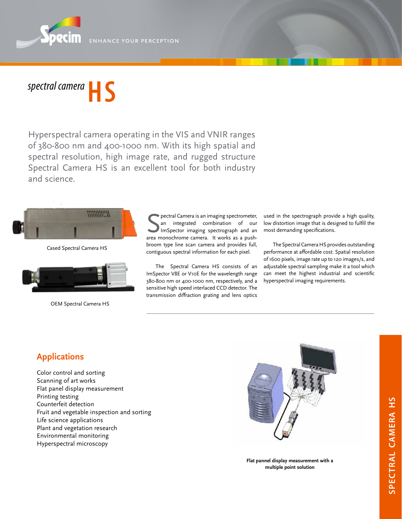ENHANCE YOUR PERCEPTION



Hyperspectral camera operating in the VIS and VNIR ranges of 380-800 nm and 400-1000 nm. With its high spatial and spectral resolution, high image rate, and rugged structure Spectral Camera HS is an excellent tool for both industry and science.



Cased Spectral Camera HS



OEM Spectral Camera HS

**S** pectral Camera is an imaging spectrometer,<br>
an integrated combination of our<br>
ImSpector imaging spectrograph and an<br>
area monochrome camera. It works as a pushpectral Camera is an imaging spectrometer, an integrated combination of our ImSpector imaging spectrograph and an broom type line scan camera and provides full, contiguous spectral information for each pixel.

The Spectral Camera HS consists of an ImSpector V8E or V10E for the wavelength range 380-800 nm or 400-1000 nm, respectively, and a sensitive high speed interlaced CCD detector. The transmission diffraction grating and lens optics

used in the spectrograph provide a high quality, low distortion image that is designed to fulfill the most demanding specifications.

The Spectral Camera HS provides outstanding performance at affordable cost. Spatial resolution of 1600 pixels, image rate up to 120 images/s, and adjustable spectral sampling make it a tool which can meet the highest industrial and scientific hyperspectral imaging requirements.

## **Applications**

Color control and sorting Scanning of art works Flat panel display measurement Printing testing Counterfeit detection Fruit and vegetable inspection and sorting Life science applications Plant and vegetation research Environmental monitoring Hyperspectral microscopy



**Flat pannel display measurement with a multiple point solution**